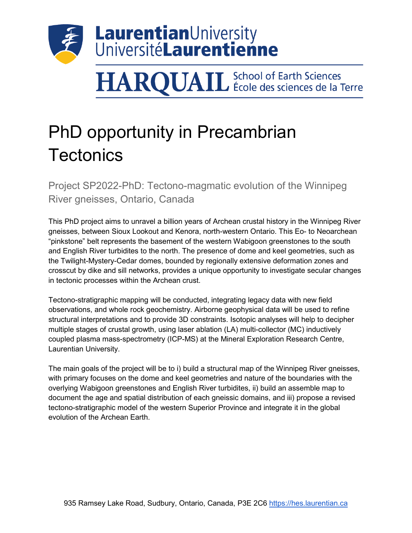

## **HARQUAIL** School of Earth Sciences

## PhD opportunity in Precambrian **Tectonics**

Project SP2022-PhD: Tectono-magmatic evolution of the Winnipeg River gneisses, Ontario, Canada

This PhD project aims to unravel a billion years of Archean crustal history in the Winnipeg River gneisses, between Sioux Lookout and Kenora, north-western Ontario. This Eo- to Neoarchean "pinkstone" belt represents the basement of the western Wabigoon greenstones to the south and English River turbidites to the north. The presence of dome and keel geometries, such as the Twilight-Mystery-Cedar domes, bounded by regionally extensive deformation zones and crosscut by dike and sill networks, provides a unique opportunity to investigate secular changes in tectonic processes within the Archean crust.

Tectono-stratigraphic mapping will be conducted, integrating legacy data with new field observations, and whole rock geochemistry. Airborne geophysical data will be used to refine structural interpretations and to provide 3D constraints. Isotopic analyses will help to decipher multiple stages of crustal growth, using laser ablation (LA) multi-collector (MC) inductively coupled plasma mass-spectrometry (ICP-MS) at the Mineral Exploration Research Centre, Laurentian University.

The main goals of the project will be to i) build a structural map of the Winnipeg River gneisses, with primary focuses on the dome and keel geometries and nature of the boundaries with the overlying Wabigoon greenstones and English River turbidites, ii) build an assemble map to document the age and spatial distribution of each gneissic domains, and iii) propose a revised tectono-stratigraphic model of the western Superior Province and integrate it in the global evolution of the Archean Earth.